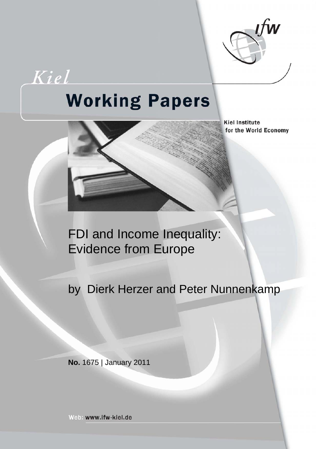

Kiel

# **Working Papers**

**Kiel Institute** for the World Economy

FDI and Income Inequality: Evidence from Europe

by Dierk Herzer and Peter Nunnenkamp

**No.** 1675 | January 2011

Web: www.ifw-kiel.de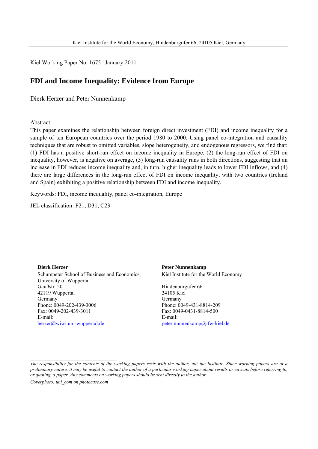Kiel Working Paper No. 1675 | January 2011

# **FDI and Income Inequality: Evidence from Europe**

Dierk Herzer and Peter Nunnenkamp

Abstract:

This paper examines the relationship between foreign direct investment (FDI) and income inequality for a sample of ten European countries over the period 1980 to 2000. Using panel co-integration and causality techniques that are robust to omitted variables, slope heterogeneity, and endogenous regressors, we find that: (1) FDI has a positive short-run effect on income inequality in Europe, (2) the long-run effect of FDI on inequality, however, is negative on average, (3) long-run causality runs in both directions, suggesting that an increase in FDI reduces income inequality and, in turn, higher inequality leads to lower FDI inflows, and (4) there are large differences in the long-run effect of FDI on income inequality, with two countries (Ireland and Spain) exhibiting a positive relationship between FDI and income inequality.

Keywords: FDI, income inequality, panel co-integration, Europe

JEL classification: F21, D31, C23

#### **Dierk Herzer**

Schumpeter School of Business and Economics, University of Wuppertal Gaußstr. 20 42119 Wuppertal Germany Phone: 0049-202-439-3006 Fax: 0049-202-439-3011 E-mail: herzer@wiwi.uni-wuppertal.de

## **Peter Nunnenkamp**

Kiel Institute for the World Economy

Hindenburgufer 66 24105 Kiel Germany Phone: 0049-431-8814-209 Fax: 0049-0431-8814-500 E-mail: peter.nunnenkamp@ifw-kiel.de

*The responsibility for the contents of the working papers rests with the author, not the Institute. Since working papers are of a preliminary nature, it may be useful to contact the author of a particular working paper about results or caveats before referring to, or quoting, a paper. Any comments on working papers should be sent directly to the author. Coverphoto: uni\_com on photocase.com*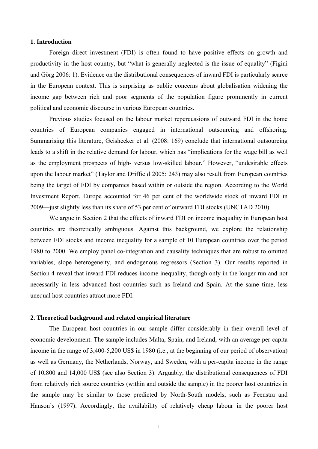#### **1. Introduction**

Foreign direct investment (FDI) is often found to have positive effects on growth and productivity in the host country, but "what is generally neglected is the issue of equality" (Figini and Görg 2006: 1). Evidence on the distributional consequences of inward FDI is particularly scarce in the European context. This is surprising as public concerns about globalisation widening the income gap between rich and poor segments of the population figure prominently in current political and economic discourse in various European countries.

Previous studies focused on the labour market repercussions of outward FDI in the home countries of European companies engaged in international outsourcing and offshoring. Summarising this literature, Geishecker et al. (2008: 169) conclude that international outsourcing leads to a shift in the relative demand for labour, which has "implications for the wage bill as well as the employment prospects of high- versus low-skilled labour." However, "undesirable effects upon the labour market" (Taylor and Driffield 2005: 243) may also result from European countries being the target of FDI by companies based within or outside the region. According to the World Investment Report, Europe accounted for 46 per cent of the worldwide stock of inward FDI in 2009—just slightly less than its share of 53 per cent of outward FDI stocks (UNCTAD 2010).

We argue in Section 2 that the effects of inward FDI on income inequality in European host countries are theoretically ambiguous. Against this background, we explore the relationship between FDI stocks and income inequality for a sample of 10 European countries over the period 1980 to 2000. We employ panel co-integration and causality techniques that are robust to omitted variables, slope heterogeneity, and endogenous regressors (Section 3). Our results reported in Section 4 reveal that inward FDI reduces income inequality, though only in the longer run and not necessarily in less advanced host countries such as Ireland and Spain. At the same time, less unequal host countries attract more FDI.

#### **2. Theoretical background and related empirical literature**

The European host countries in our sample differ considerably in their overall level of economic development. The sample includes Malta, Spain, and Ireland, with an average per-capita income in the range of 3,400-5,200 US\$ in 1980 (i.e., at the beginning of our period of observation) as well as Germany, the Netherlands, Norway, and Sweden, with a per-capita income in the range of 10,800 and 14,000 US\$ (see also Section 3). Arguably, the distributional consequences of FDI from relatively rich source countries (within and outside the sample) in the poorer host countries in the sample may be similar to those predicted by North-South models, such as Feenstra and Hanson's (1997). Accordingly, the availability of relatively cheap labour in the poorer host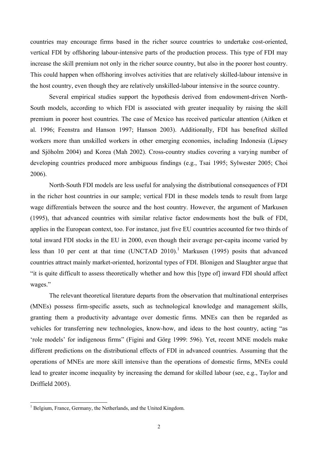countries may encourage firms based in the richer source countries to undertake cost-oriented, vertical FDI by offshoring labour-intensive parts of the production process. This type of FDI may increase the skill premium not only in the richer source country, but also in the poorer host country. This could happen when offshoring involves activities that are relatively skilled-labour intensive in the host country, even though they are relatively unskilled-labour intensive in the source country.

Several empirical studies support the hypothesis derived from endowment-driven North-South models, according to which FDI is associated with greater inequality by raising the skill premium in poorer host countries. The case of Mexico has received particular attention (Aitken et al. 1996; Feenstra and Hanson 1997; Hanson 2003). Additionally, FDI has benefited skilled workers more than unskilled workers in other emerging economies, including Indonesia (Lipsey and Sjöholm 2004) and Korea (Mah 2002). Cross-country studies covering a varying number of developing countries produced more ambiguous findings (e.g., Tsai 1995; Sylwester 2005; Choi 2006).

North-South FDI models are less useful for analysing the distributional consequences of FDI in the richer host countries in our sample; vertical FDI in these models tends to result from large wage differentials between the source and the host country. However, the argument of Markusen (1995), that advanced countries with similar relative factor endowments host the bulk of FDI, applies in the European context, too. For instance, just five EU countries accounted for two thirds of total inward FDI stocks in the EU in 2000, even though their average per-capita income varied by less than 10 per cent at that time  $(UNCTAD 2010).$ <sup>1</sup> Markusen (1995) posits that advanced countries attract mainly market-oriented, horizontal types of FDI. Blonigen and Slaughter argue that "it is quite difficult to assess theoretically whether and how this [type of] inward FDI should affect wages."

The relevant theoretical literature departs from the observation that multinational enterprises (MNEs) possess firm-specific assets, such as technological knowledge and management skills, granting them a productivity advantage over domestic firms. MNEs can then be regarded as vehicles for transferring new technologies, know-how, and ideas to the host country, acting "as 'role models' for indigenous firms" (Figini and Görg 1999: 596). Yet, recent MNE models make different predictions on the distributional effects of FDI in advanced countries. Assuming that the operations of MNEs are more skill intensive than the operations of domestic firms, MNEs could lead to greater income inequality by increasing the demand for skilled labour (see, e.g., Taylor and Driffield 2005).

<sup>&</sup>lt;sup>1</sup> Belgium, France, Germany, the Netherlands, and the United Kingdom.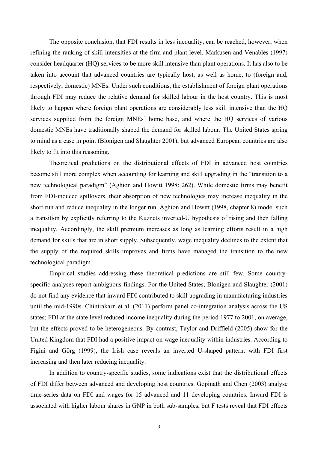The opposite conclusion, that FDI results in less inequality, can be reached, however, when refining the ranking of skill intensities at the firm and plant level. Markusen and Venables (1997) consider headquarter (HQ) services to be more skill intensive than plant operations. It has also to be taken into account that advanced countries are typically host, as well as home, to (foreign and, respectively, domestic) MNEs. Under such conditions, the establishment of foreign plant operations through FDI may reduce the relative demand for skilled labour in the host country. This is most likely to happen where foreign plant operations are considerably less skill intensive than the HQ services supplied from the foreign MNEs' home base, and where the HQ services of various domestic MNEs have traditionally shaped the demand for skilled labour. The United States spring to mind as a case in point (Blonigen and Slaughter 2001), but advanced European countries are also likely to fit into this reasoning.

Theoretical predictions on the distributional effects of FDI in advanced host countries become still more complex when accounting for learning and skill upgrading in the "transition to a new technological paradigm" (Aghion and Howitt 1998: 262). While domestic firms may benefit from FDI-induced spillovers, their absorption of new technologies may increase inequality in the short run and reduce inequality in the longer run. Aghion and Howitt (1998, chapter 8) model such a transition by explicitly referring to the Kuznets inverted-U hypothesis of rising and then falling inequality. Accordingly, the skill premium increases as long as learning efforts result in a high demand for skills that are in short supply. Subsequently, wage inequality declines to the extent that the supply of the required skills improves and firms have managed the transition to the new technological paradigm.

Empirical studies addressing these theoretical predictions are still few. Some countryspecific analyses report ambiguous findings. For the United States, Blonigen and Slaughter (2001) do not find any evidence that inward FDI contributed to skill upgrading in manufacturing industries until the mid-1990s. Chintrakarn et al. (2011) perform panel co-integration analysis across the US states; FDI at the state level reduced income inequality during the period 1977 to 2001, on average, but the effects proved to be heterogeneous. By contrast, Taylor and Driffield (2005) show for the United Kingdom that FDI had a positive impact on wage inequality within industries. According to Figini and Görg (1999), the Irish case reveals an inverted U-shaped pattern, with FDI first increasing and then later reducing inequality.

In addition to country-specific studies, some indications exist that the distributional effects of FDI differ between advanced and developing host countries. Gopinath and Chen (2003) analyse time-series data on FDI and wages for 15 advanced and 11 developing countries. Inward FDI is associated with higher labour shares in GNP in both sub-samples, but F tests reveal that FDI effects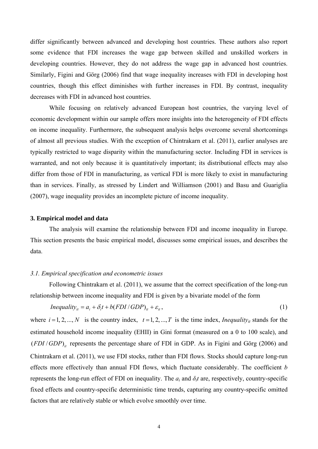differ significantly between advanced and developing host countries. These authors also report some evidence that FDI increases the wage gap between skilled and unskilled workers in developing countries. However, they do not address the wage gap in advanced host countries. Similarly, Figini and Görg (2006) find that wage inequality increases with FDI in developing host countries, though this effect diminishes with further increases in FDI. By contrast, inequality decreases with FDI in advanced host countries.

While focusing on relatively advanced European host countries, the varying level of economic development within our sample offers more insights into the heterogeneity of FDI effects on income inequality. Furthermore, the subsequent analysis helps overcome several shortcomings of almost all previous studies. With the exception of Chintrakarn et al. (2011), earlier analyses are typically restricted to wage disparity within the manufacturing sector. Including FDI in services is warranted, and not only because it is quantitatively important; its distributional effects may also differ from those of FDI in manufacturing, as vertical FDI is more likely to exist in manufacturing than in services. Finally, as stressed by Lindert and Williamson (2001) and Basu and Guariglia (2007), wage inequality provides an incomplete picture of income inequality.

#### **3. Empirical model and data**

The analysis will examine the relationship between FDI and income inequality in Europe. This section presents the basic empirical model, discusses some empirical issues, and describes the data.

#### *3.1. Empirical specification and econometric issues*

Following Chintrakarn et al. (2011), we assume that the correct specification of the long-run relationship between income inequality and FDI is given by a bivariate model of the form

$$
Inequality_{it} = a_i + \delta_i t + b(FDI/GDP)_{it} + \varepsilon_{it},
$$
\n<sup>(1)</sup>

where  $i = 1, 2, ..., N$  is the country index,  $t = 1, 2, ..., T$  is the time index, *Inequality<sub>it</sub>* stands for the estimated household income inequality (EHII) in Gini format (measured on a 0 to 100 scale), and  $(FDI/GDP)$ <sub>it</sub> represents the percentage share of FDI in GDP. As in Figini and Görg (2006) and Chintrakarn et al. (2011), we use FDI stocks, rather than FDI flows. Stocks should capture long-run effects more effectively than annual FDI flows, which fluctuate considerably. The coefficient *b* represents the long-run effect of FDI on inequality. The *ai* and *δit* are, respectively, country-specific fixed effects and country-specific deterministic time trends, capturing any country-specific omitted factors that are relatively stable or which evolve smoothly over time.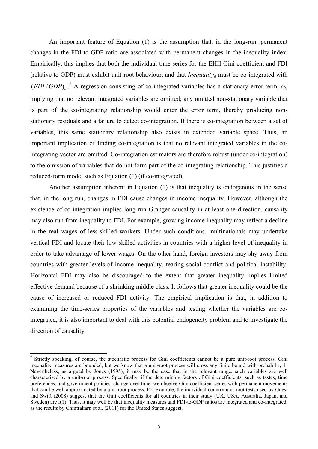An important feature of Equation (1) is the assumption that, in the long-run, permanent changes in the FDI-to-GDP ratio are associated with permanent changes in the inequality index. Empirically, this implies that both the individual time series for the EHII Gini coefficient and FDI (relative to GDP) must exhibit unit-root behaviour, and that *Inequality<sub>it</sub>* must be co-integrated with  $(FDI/GDP)_{it}$ <sup>2</sup> A regression consisting of co-integrated variables has a stationary error term,  $\varepsilon_{it}$ , implying that no relevant integrated variables are omitted; any omitted non-stationary variable that is part of the co-integrating relationship would enter the error term, thereby producing nonstationary residuals and a failure to detect co-integration. If there is co-integration between a set of variables, this same stationary relationship also exists in extended variable space. Thus, an important implication of finding co-integration is that no relevant integrated variables in the cointegrating vector are omitted. Co-integration estimators are therefore robust (under co-integration) to the omission of variables that do not form part of the co-integrating relationship. This justifies a reduced-form model such as Equation (1) (if co-integrated).

Another assumption inherent in Equation (1) is that inequality is endogenous in the sense that, in the long run, changes in FDI cause changes in income inequality. However, although the existence of co-integration implies long-run Granger causality in at least one direction, causality may also run from inequality to FDI. For example, growing income inequality may reflect a decline in the real wages of less-skilled workers. Under such conditions, multinationals may undertake vertical FDI and locate their low-skilled activities in countries with a higher level of inequality in order to take advantage of lower wages. On the other hand, foreign investors may shy away from countries with greater levels of income inequality, fearing social conflict and political instability. Horizontal FDI may also be discouraged to the extent that greater inequality implies limited effective demand because of a shrinking middle class. It follows that greater inequality could be the cause of increased or reduced FDI activity. The empirical implication is that, in addition to examining the time-series properties of the variables and testing whether the variables are cointegrated, it is also important to deal with this potential endogeneity problem and to investigate the direction of causality.

 $\overline{a}$ 

 $2$  Strictly speaking, of course, the stochastic process for Gini coefficients cannot be a pure unit-root process. Gini inequality measures are bounded, but we know that a unit-root process will cross any finite bound with probability 1. Nevertheless, as argued by Jones (1995), it may be the case that in the relevant range, such variables are well characterised by a unit-root process. Specifically, if the determining factors of Gini coefficients, such as tastes, time preferences, and government policies, change over time, we observe Gini coefficient series with permanent movements that can be well approximated by a unit-root process. For example, the individual country unit-root tests used by Guest and Swift (2008) suggest that the Gini coefficients for all countries in their study (UK, USA, Australia, Japan, and Sweden) are I(1). Thus, it may well be that inequality measures and FDI-to-GDP ratios are integrated and co-integrated, as the results by Chintrakarn et al. (2011) for the United States suggest.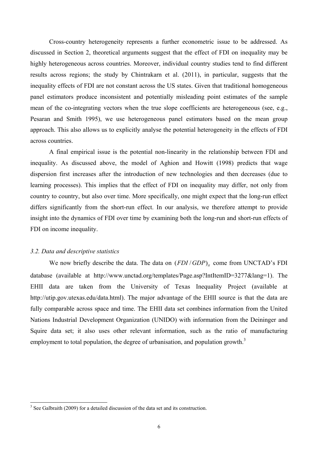Cross-country heterogeneity represents a further econometric issue to be addressed. As discussed in Section 2, theoretical arguments suggest that the effect of FDI on inequality may be highly heterogeneous across countries. Moreover, individual country studies tend to find different results across regions; the study by Chintrakarn et al. (2011), in particular, suggests that the inequality effects of FDI are not constant across the US states. Given that traditional homogeneous panel estimators produce inconsistent and potentially misleading point estimates of the sample mean of the co-integrating vectors when the true slope coefficients are heterogeneous (see, e.g., Pesaran and Smith 1995), we use heterogeneous panel estimators based on the mean group approach. This also allows us to explicitly analyse the potential heterogeneity in the effects of FDI across countries.

A final empirical issue is the potential non-linearity in the relationship between FDI and inequality. As discussed above, the model of Aghion and Howitt (1998) predicts that wage dispersion first increases after the introduction of new technologies and then decreases (due to learning processes). This implies that the effect of FDI on inequality may differ, not only from country to country, but also over time. More specifically, one might expect that the long-run effect differs significantly from the short-run effect. In our analysis, we therefore attempt to provide insight into the dynamics of FDI over time by examining both the long-run and short-run effects of FDI on income inequality.

#### *3.2. Data and descriptive statistics*

We now briefly describe the data. The data on  $(FDI/GDP)_{it}$  come from UNCTAD's FDI database (available at http://www.unctad.org/templates/Page.asp?IntItemID=3277&lang=1). The EHII data are taken from the University of Texas Inequality Project (available at http://utip.gov.utexas.edu/data.html). The major advantage of the EHII source is that the data are fully comparable across space and time. The EHII data set combines information from the United Nations Industrial Development Organization (UNIDO) with information from the Deininger and Squire data set; it also uses other relevant information, such as the ratio of manufacturing employment to total population, the degree of urbanisation, and population growth.<sup>3</sup>

<sup>&</sup>lt;sup>3</sup> See Galbraith (2009) for a detailed discussion of the data set and its construction.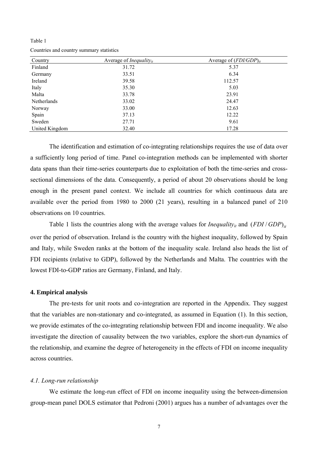Table 1

Countries and country summary statistics

| Country            | Average of <i>Inequality</i> $_{it}$ | Average of $(FDI/GDP)_{it}$ |
|--------------------|--------------------------------------|-----------------------------|
| Finland            | 31.72                                | 5.37                        |
| Germany            | 33.51                                | 6.34                        |
| Ireland            | 39.58                                | 112.57                      |
| Italy              | 35.30                                | 5.03                        |
| Malta              | 33.78                                | 23.91                       |
| <b>Netherlands</b> | 33.02                                | 24.47                       |
| Norway             | 33.00                                | 12.63                       |
| Spain              | 37.13                                | 12.22                       |
| Sweden             | 27.71                                | 9.61                        |
| United Kingdom     | 32.40                                | 17.28                       |

The identification and estimation of co-integrating relationships requires the use of data over a sufficiently long period of time. Panel co-integration methods can be implemented with shorter data spans than their time-series counterparts due to exploitation of both the time-series and crosssectional dimensions of the data. Consequently, a period of about 20 observations should be long enough in the present panel context. We include all countries for which continuous data are available over the period from 1980 to 2000 (21 years), resulting in a balanced panel of 210 observations on 10 countries.

Table 1 lists the countries along with the average values for *Inequality<sub>it</sub>* and  $(FDI/GDP)_{it}$ over the period of observation. Ireland is the country with the highest inequality, followed by Spain and Italy, while Sweden ranks at the bottom of the inequality scale. Ireland also heads the list of FDI recipients (relative to GDP), followed by the Netherlands and Malta. The countries with the lowest FDI-to-GDP ratios are Germany, Finland, and Italy.

#### **4. Empirical analysis**

The pre-tests for unit roots and co-integration are reported in the Appendix. They suggest that the variables are non-stationary and co-integrated, as assumed in Equation (1). In this section, we provide estimates of the co-integrating relationship between FDI and income inequality. We also investigate the direction of causality between the two variables, explore the short-run dynamics of the relationship, and examine the degree of heterogeneity in the effects of FDI on income inequality across countries.

#### *4.1. Long-run relationship*

We estimate the long-run effect of FDI on income inequality using the between-dimension group-mean panel DOLS estimator that Pedroni (2001) argues has a number of advantages over the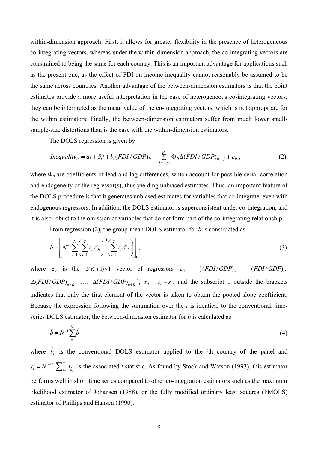within-dimension approach. First, it allows for greater flexibility in the presence of heterogeneous co-integrating vectors, whereas under the within-dimension approach, the co-integrating vectors are constrained to being the same for each country. This is an important advantage for applications such as the present one, as the effect of FDI on income inequality cannot reasonably be assumed to be the same across countries. Another advantage of the between-dimension estimators is that the point estimates provide a more useful interpretation in the case of heterogeneous co-integrating vectors; they can be interpreted as the mean value of the co-integrating vectors, which is not appropriate for the within estimators. Finally, the between-dimension estimators suffer from much lower smallsample-size distortions than is the case with the within-dimension estimators.

The DOLS regression is given by

*Inequality<sub>it</sub>* = 
$$
a_i + \delta_i t + b_i (FDI / GDP)_{it} + \sum_{j=-p_i}^{p_i} \Phi_{ij} \Delta (FDI / GDP)_{it-j} + \varepsilon_{it}
$$
, (2)

where Φ*ij* are coefficients of lead and lag differences, which account for possible serial correlation and endogeneity of the regressor(s), thus yielding unbiased estimates. Thus, an important feature of the DOLS procedure is that it generates unbiased estimates for variables that co-integrate, even with endogenous regressors. In addition, the DOLS estimator is superconsistent under co-integration, and it is also robust to the omission of variables that do not form part of the co-integrating relationship.

From regression (2), the group-mean DOLS estimator for *b* is constructed as

$$
\hat{b} = \left[ N^{-1} \sum_{i=1}^{N} \left( \sum_{t=1}^{T} z_{it} z_{it}^{\mathbf{r}} \right)^{-1} \left( \sum_{t=1}^{T} z_{it} \widetilde{s}_{it}^{\mathbf{r}} \right) \right],
$$
\n(3)

where  $z_{it}$  is the  $2(K+1)\times 1$  vector of regressors  $z_{it} = [(FDI/GDP)_{it} - (FDI/GDP)_{it}]$  $\Delta(FDI/GDP)_{it-K}$ , ...,  $\Delta(FDI/GDP)_{it+K}$ ],  $\tilde{s}_i = s_{it} - \bar{s}_i$ , and the subscript 1 outside the brackets indicates that only the first element of the vector is taken to obtain the pooled slope coefficient. Because the expression following the summation over the *i* is identical to the conventional timeseries DOLS estimator, the between-dimension estimator for *b* is calculated as

$$
\hat{b} = N^{-1} \sum_{i=1}^{N} \hat{b}_i , \qquad (4)
$$

where  $\hat{b}_i$  is the conventional DOLS estimator applied to the *i*th country of the panel and  $t_{\hat{b}} = N^{-1/2} \sum_{i=1}^{N} t_{\hat{b}_i}$  is the associated *t* statistic. As found by Stock and Watson (1993), this estimator performs well in short time series compared to other co-integration estimators such as the maximum likelihood estimator of Johansen (1988), or the fully modified ordinary least squares (FMOLS) estimator of Phillips and Hansen (1990).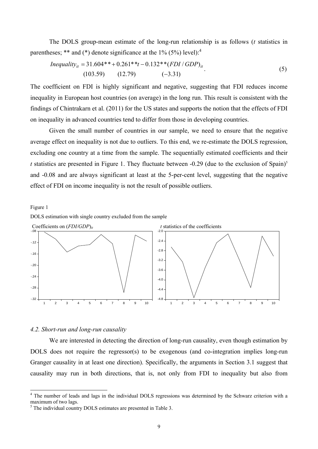The DOLS group-mean estimate of the long-run relationship is as follows (*t* statistics in parentheses; \*\* and (\*) denote significance at the  $1\%$  (5%) level):<sup>4</sup>

(103.59) (12.79) ( 3.31) 31.604\*\* 0.261\*\* 0.132\*\*( / ) − *it* = + − *FDI GDP it Inequality t* . (5)

The coefficient on FDI is highly significant and negative, suggesting that FDI reduces income inequality in European host countries (on average) in the long run. This result is consistent with the findings of Chintrakarn et al. (2011) for the US states and supports the notion that the effects of FDI on inequality in advanced countries tend to differ from those in developing countries.

Given the small number of countries in our sample, we need to ensure that the negative average effect on inequality is not due to outliers. To this end, we re-estimate the DOLS regression, excluding one country at a time from the sample. The sequentially estimated coefficients and their *t* statistics are presented in Figure 1. They fluctuate between  $-0.29$  (due to the exclusion of Spain)<sup>5</sup> and -0.08 and are always significant at least at the 5-per-cent level, suggesting that the negative effect of FDI on income inequality is not the result of possible outliers.

Figure 1

 $\overline{a}$ 

DOLS estimation with single country excluded from the sample



#### *4.2. Short-run and long-run causality*

We are interested in detecting the direction of long-run causality, even though estimation by DOLS does not require the regressor(s) to be exogenous (and co-integration implies long-run Granger causality in at least one direction). Specifically, the arguments in Section 3.1 suggest that causality may run in both directions, that is, not only from FDI to inequality but also from

<sup>&</sup>lt;sup>4</sup> The number of leads and lags in the individual DOLS regressions was determined by the Schwarz criterion with a maximum of two lags.

<sup>&</sup>lt;sup>5</sup> The individual country DOLS estimates are presented in Table 3.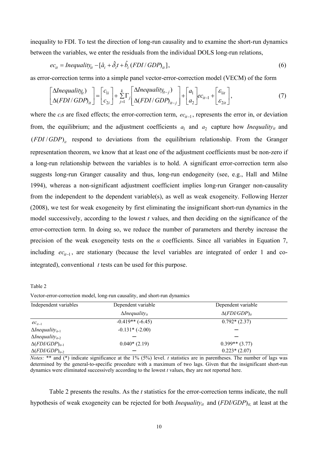inequality to FDI. To test the direction of long-run causality and to examine the short-run dynamics between the variables, we enter the residuals from the individual DOLS long-run relations,

$$
ec_{it} = Inequality_{it} - [\hat{a}_i + \hat{\delta}_i t + \hat{b}_i (FDI / GDP)_{it}],
$$
\n(6)

as error-correction terms into a simple panel vector-error-correction model (VECM) of the form

$$
\begin{bmatrix}\n\Delta Inequality_{it}) \\
\Delta(FDI/GDP)_{it}\n\end{bmatrix} =\n\begin{bmatrix}\nc_{1i} \\
c_{2i}\n\end{bmatrix} +\n\sum_{j=1}^{k} \Gamma_j \begin{bmatrix}\n\Delta Inequality_{it-j}) \\
\Delta(FDI/GDP)_{it-j}\n\end{bmatrix} +\n\begin{bmatrix}\na_1 \\
a_2\n\end{bmatrix} e c_{it-1} +\n\begin{bmatrix}\n\varepsilon_{lit} \\
\varepsilon_{2it}\n\end{bmatrix},
$$
\n(7)

where the  $c_i$ s are fixed effects; the error-correction term,  $ec_{i-1}$ , represents the error in, or deviation from, the equilibrium; and the adjustment coefficients  $a_1$  and  $a_2$  capture how *Inequality<sub>it</sub>* and  $(FDI/GDP)$ <sub>*it*</sub> respond to deviations from the equilibrium relationship. From the Granger representation theorem, we know that at least one of the adjustment coefficients must be non-zero if a long-run relationship between the variables is to hold. A significant error-correction term also suggests long-run Granger causality and thus, long-run endogeneity (see, e.g., Hall and Milne 1994), whereas a non-significant adjustment coefficient implies long-run Granger non-causality from the independent to the dependent variable(s), as well as weak exogeneity. Following Herzer (2008), we test for weak exogeneity by first eliminating the insignificant short-run dynamics in the model successively, according to the lowest *t* values, and then deciding on the significance of the error-correction term. In doing so, we reduce the number of parameters and thereby increase the precision of the weak exogeneity tests on the  $\alpha$  coefficients. Since all variables in Equation 7, including  $ec_{it-1}$ , are stationary (because the level variables are integrated of order 1 and cointegrated), conventional *t* tests can be used for this purpose.

#### Table 2

Vector-error-correction model, long-run causality, and short-run dynamics

| Independent variables                      | Dependent variable                | Dependent variable     |  |
|--------------------------------------------|-----------------------------------|------------------------|--|
|                                            | $\Delta$ Inequality <sub>it</sub> | $\Delta(FDI/GDP)_{it}$ |  |
| $ec_{it-1}$                                | $-0.419**(-6.45)$                 | $0.792*(2.37)$         |  |
| $\Delta$ <i>Inequality</i> <sub>it-1</sub> | $-0.131*(-2.00)$                  |                        |  |
| $\Delta$ <i>Inequality</i> <sub>it-2</sub> |                                   |                        |  |
| $\Delta(FDI/GDP)_{it-1}$                   | $0.040*(2.19)$                    | $0.399**$ (3.77)       |  |
| $\Delta(FDI/GDP)_{it-2}$                   |                                   | $0.223*(2.07)$         |  |

*Notes:* \*\* and (\*) indicate significance at the 1% (5%) level. *t* statistics are in parentheses. The number of lags was determined by the general-to-specific procedure with a maximum of two lags. Given that the insignificant short-run dynamics were eliminated successively according to the lowest *t* values, they are not reported here.

Table 2 presents the results. As the *t* statistics for the error-correction terms indicate, the null hypothesis of weak exogeneity can be rejected for both *Inequalityit* and (*FDI/GDP*)*it,* at least at the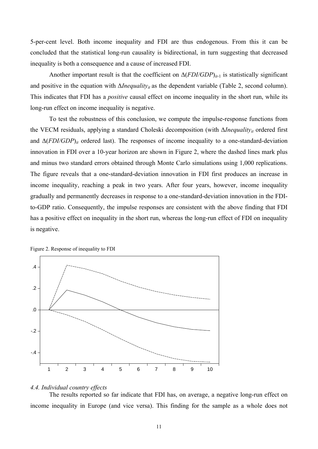5-per-cent level. Both income inequality and FDI are thus endogenous. From this it can be concluded that the statistical long-run causality is bidirectional, in turn suggesting that decreased inequality is both a consequence and a cause of increased FDI.

Another important result is that the coefficient on  $\Delta(FDI/GDP)_{it-1}$  is statistically significant and positive in the equation with  $\Delta Inequality_{it}$  as the dependent variable (Table 2, second column). This indicates that FDI has a *positive* causal effect on income inequality in the short run, while its long-run effect on income inequality is negative.

To test the robustness of this conclusion, we compute the impulse-response functions from the VECM residuals, applying a standard Choleski decomposition (with Δ*Inequality<sub>it</sub>* ordered first and  $\Delta(FDI/GDP)_{it}$  ordered last). The responses of income inequality to a one-standard-deviation innovation in FDI over a 10-year horizon are shown in Figure 2, where the dashed lines mark plus and minus two standard errors obtained through Monte Carlo simulations using 1,000 replications. The figure reveals that a one-standard-deviation innovation in FDI first produces an increase in income inequality, reaching a peak in two years. After four years, however, income inequality gradually and permanently decreases in response to a one-standard-deviation innovation in the FDIto-GDP ratio. Consequently, the impulse responses are consistent with the above finding that FDI has a positive effect on inequality in the short run, whereas the long-run effect of FDI on inequality is negative.



Figure 2. Response of inequality to FDI

## *4.4. Individual country effects*

 The results reported so far indicate that FDI has, on average, a negative long-run effect on income inequality in Europe (and vice versa). This finding for the sample as a whole does not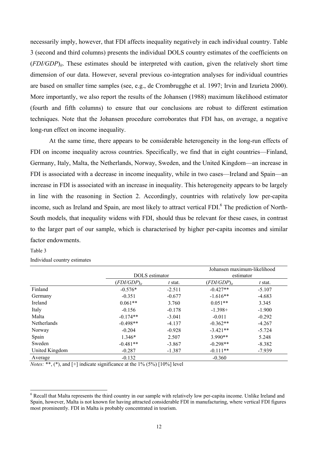necessarily imply, however, that FDI affects inequality negatively in each individual country. Table 3 (second and third columns) presents the individual DOLS country estimates of the coefficients on (*FDI/GDP*)*it*. These estimates should be interpreted with caution, given the relatively short time dimension of our data. However, several previous co-integration analyses for individual countries are based on smaller time samples (see, e.g., de Crombrugghe et al. 1997; Irvin and Izurieta 2000). More importantly, we also report the results of the Johansen (1988) maximum likelihood estimator (fourth and fifth columns) to ensure that our conclusions are robust to different estimation techniques. Note that the Johansen procedure corroborates that FDI has, on average, a negative long-run effect on income inequality.

At the same time, there appears to be considerable heterogeneity in the long-run effects of FDI on income inequality across countries. Specifically, we find that in eight countries—Finland, Germany, Italy, Malta, the Netherlands, Norway, Sweden, and the United Kingdom—an increase in FDI is associated with a decrease in income inequality, while in two cases—Ireland and Spain—an increase in FDI is associated with an increase in inequality. This heterogeneity appears to be largely in line with the reasoning in Section 2. Accordingly, countries with relatively low per-capita income, such as Ireland and Spain, are most likely to attract vertical FDI.<sup>6</sup> The prediction of North-South models, that inequality widens with FDI, should thus be relevant for these cases, in contrast to the larger part of our sample, which is characterised by higher per-capita incomes and similar factor endowments.

Table 3

 $\overline{a}$ 

|                    |                  |          | Johansen maximum-likelihood |          |
|--------------------|------------------|----------|-----------------------------|----------|
|                    | DOLS estimator   |          | estimator                   |          |
|                    | $(FDI/GDP)_{it}$ | t stat.  | $(FDI/GDP)_{it}$            | t stat.  |
| Finland            | $-0.576*$        | $-2.511$ | $-0.427**$                  | $-5.107$ |
| Germany            | $-0.351$         | $-0.677$ | $-1.616**$                  | $-4.683$ |
| Ireland            | $0.061**$        | 3.760    | $0.051**$                   | 3.345    |
| Italy              | $-0.156$         | $-0.178$ | $-1.398+$                   | $-1.900$ |
| Malta              | $-0.174**$       | $-3.041$ | $-0.011$                    | $-0.292$ |
| <b>Netherlands</b> | $-0.498**$       | $-4.137$ | $-0.362**$                  | $-4.267$ |
| Norway             | $-0.204$         | $-0.928$ | $-3.421**$                  | $-5.724$ |
| Spain              | $1.346*$         | 2.507    | $3.990**$                   | 5.248    |
| Sweden             | $-0.481**$       | $-3.867$ | $-0.298**$                  | $-8.382$ |
| United Kingdom     | $-0.287$         | $-1.387$ | $-0.111**$                  | $-7.939$ |
| Average            | $-0.132$         |          | $-0.360$                    |          |

Individual country estimates

*Notes:* \*\*, (\*), and  $[+]$  indicate significance at the  $1\%$  (5%)  $[10\%]$  level

<sup>&</sup>lt;sup>6</sup> Recall that Malta represents the third country in our sample with relatively low per-capita income. Unlike Ireland and Spain, however, Malta is not known for having attracted considerable FDI in manufacturing, where vertical FDI figures most prominently. FDI in Malta is probably concentrated in tourism.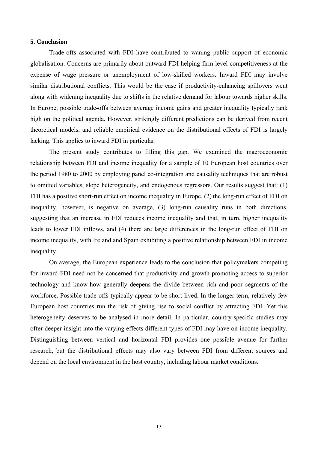## **5. Conclusion**

Trade-offs associated with FDI have contributed to waning public support of economic globalisation. Concerns are primarily about outward FDI helping firm-level competitiveness at the expense of wage pressure or unemployment of low-skilled workers. Inward FDI may involve similar distributional conflicts. This would be the case if productivity-enhancing spillovers went along with widening inequality due to shifts in the relative demand for labour towards higher skills. In Europe, possible trade-offs between average income gains and greater inequality typically rank high on the political agenda. However, strikingly different predictions can be derived from recent theoretical models, and reliable empirical evidence on the distributional effects of FDI is largely lacking. This applies to inward FDI in particular.

The present study contributes to filling this gap. We examined the macroeconomic relationship between FDI and income inequality for a sample of 10 European host countries over the period 1980 to 2000 by employing panel co-integration and causality techniques that are robust to omitted variables, slope heterogeneity, and endogenous regressors. Our results suggest that: (1) FDI has a positive short-run effect on income inequality in Europe, (2) the long-run effect of FDI on inequality, however, is negative on average, (3) long-run causality runs in both directions, suggesting that an increase in FDI reduces income inequality and that, in turn, higher inequality leads to lower FDI inflows, and (4) there are large differences in the long-run effect of FDI on income inequality, with Ireland and Spain exhibiting a positive relationship between FDI in income inequality.

On average, the European experience leads to the conclusion that policymakers competing for inward FDI need not be concerned that productivity and growth promoting access to superior technology and know-how generally deepens the divide between rich and poor segments of the workforce. Possible trade-offs typically appear to be short-lived. In the longer term, relatively few European host countries run the risk of giving rise to social conflict by attracting FDI. Yet this heterogeneity deserves to be analysed in more detail. In particular, country-specific studies may offer deeper insight into the varying effects different types of FDI may have on income inequality. Distinguishing between vertical and horizontal FDI provides one possible avenue for further research, but the distributional effects may also vary between FDI from different sources and depend on the local environment in the host country, including labour market conditions.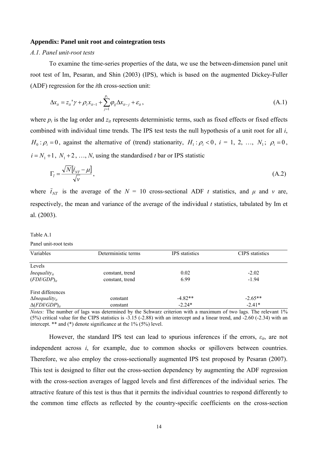#### **Appendix: Panel unit root and cointegration tests**

### *A.1. Panel unit-root tests*

To examine the time-series properties of the data, we use the between-dimension panel unit root test of Im, Pesaran, and Shin (2003) (IPS), which is based on the augmented Dickey-Fuller (ADF) regression for the *i*th cross-section unit:

$$
\Delta x_{it} = z_{it}' \gamma + \rho_i x_{it-1} + \sum_{j=1}^{p_i} \varphi_{ij} \Delta x_{it-j} + \varepsilon_{it},
$$
\n(A.1)

where  $p_i$  is the lag order and  $z_i$  represents deterministic terms, such as fixed effects or fixed effects combined with individual time trends. The IPS test tests the null hypothesis of a unit root for all *i*,  $H_0: \rho_i = 0$ , against the alternative of (trend) stationarity,  $H_1: \rho_i < 0$ ,  $i = 1, 2, ..., N_1$ ;  $\rho_i = 0$ ,  $i = N_1 + 1$ ,  $N_1 + 2$ , ..., *N*, using the standardised *t* bar or IPS statistic

$$
\Gamma_{\bar{t}} = \frac{\sqrt{N} [\bar{t}_{NT} - \mu]}{\sqrt{\nu}},
$$
\n(A.2)

where  $\bar{t}_{NT}$  is the average of the  $N = 10$  cross-sectional ADF *t* statistics, and  $\mu$  and  $\nu$  are, respectively, the mean and variance of the average of the individual *t* statistics, tabulated by Im et al. (2003).

#### Table A.1

Panel unit-root tests

| Variables                         | Deterministic terms                                                                                           | <b>IPS</b> statistics | <b>CIPS</b> statistics |
|-----------------------------------|---------------------------------------------------------------------------------------------------------------|-----------------------|------------------------|
| Levels                            |                                                                                                               |                       |                        |
| <i>Inequality</i> $_{it}$         | constant, trend                                                                                               | 0.02                  | $-2.02$                |
| $(FDI(GDP)_{it})$                 | constant, trend                                                                                               | 6.99                  | $-1.94$                |
| First differences                 |                                                                                                               |                       |                        |
| $\Delta$ Inequality <sub>it</sub> | constant                                                                                                      | $-4.82**$             | $-2.65**$              |
| $\Delta(FDI/GDP)_{it}$            | constant                                                                                                      | $-2.24*$              | $-2.41*$               |
|                                   | Matas: The number of lags was determined by the Schwarz criterion with a maximum of two lags. The relevant 1% |                       |                        |

*Notes:* The number of lags was determined by the Schwarz criterion with a maximum of two lags. The relevant 1% (5%) critical value for the CIPS statistics is -3.15 (-2.88) with an intercept and a linear trend, and -2.60 (-2.34) with an intercept. \*\* and (\*) denote significance at the 1% (5%) level.

However, the standard IPS test can lead to spurious inferences if the errors,  $\varepsilon_{it}$ , are not independent across *i*, for example, due to common shocks or spillovers between countries. Therefore, we also employ the cross-sectionally augmented IPS test proposed by Pesaran (2007). This test is designed to filter out the cross-section dependency by augmenting the ADF regression with the cross-section averages of lagged levels and first differences of the individual series. The attractive feature of this test is thus that it permits the individual countries to respond differently to the common time effects as reflected by the country-specific coefficients on the cross-section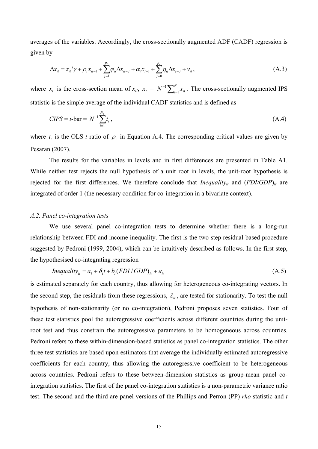averages of the variables. Accordingly, the cross-sectionally augmented ADF (CADF) regression is given by

$$
\Delta x_{it} = z_{it} \gamma + \rho_i x_{it-1} + \sum_{j=1}^{p_i} \varphi_{ij} \Delta x_{it-j} + \alpha_i \overline{x}_{t-1} + \sum_{j=0}^{p_i} \eta_{ij} \Delta \overline{x}_{t-j} + v_{it},
$$
\n(A.3)

where  $\bar{x}_t$  is the cross-section mean of  $x_{it}$ ,  $\bar{x}_t = N^{-1} \sum_{i=1}^{N} x_{it}$ . The cross-sectionally augmented IPS statistic is the simple average of the individual CADF statistics and is defined as

$$
CIPS = t - bar = N^{-1} \sum_{i=1}^{N_i} t_i , \qquad (A.4)
$$

where  $t_i$  is the OLS *t* ratio of  $\rho_i$  in Equation A.4. The corresponding critical values are given by Pesaran (2007).

The results for the variables in levels and in first differences are presented in Table A1. While neither test rejects the null hypothesis of a unit root in levels, the unit-root hypothesis is rejected for the first differences. We therefore conclude that *Inequality<sub>it</sub>* and  $(FDI/GDP)_{it}$  are integrated of order 1 (the necessary condition for co-integration in a bivariate context).

#### *A.2. Panel co-integration tests*

We use several panel co-integration tests to determine whether there is a long-run relationship between FDI and income inequality. The first is the two-step residual-based procedure suggested by Pedroni (1999, 2004), which can be intuitively described as follows. In the first step, the hypothesised co-integrating regression

*Inequality<sub>it</sub>* = 
$$
a_i + \delta_i t + b_i (FDI / GDP)_{it} + \varepsilon_{it}
$$
 (A.5)

is estimated separately for each country, thus allowing for heterogeneous co-integrating vectors. In the second step, the residuals from these regressions,  $\hat{\varepsilon}_i$ , are tested for stationarity. To test the null hypothesis of non-stationarity (or no co-integration), Pedroni proposes seven statistics. Four of these test statistics pool the autoregressive coefficients across different countries during the unitroot test and thus constrain the autoregressive parameters to be homogeneous across countries. Pedroni refers to these within-dimension-based statistics as panel co-integration statistics. The other three test statistics are based upon estimators that average the individually estimated autoregressive coefficients for each country, thus allowing the autoregressive coefficient to be heterogeneous across countries. Pedroni refers to these between-dimension statistics as group-mean panel cointegration statistics. The first of the panel co-integration statistics is a non-parametric variance ratio test. The second and the third are panel versions of the Phillips and Perron (PP) *rho* statistic and *t*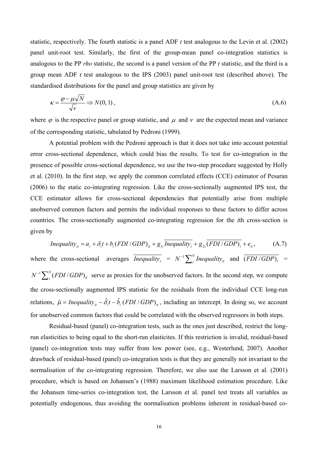statistic, respectively. The fourth statistic is a panel ADF *t* test analogous to the Levin et al. (2002) panel unit-root test. Similarly, the first of the group-mean panel co-integration statistics is analogous to the PP *rho* statistic, the second is a panel version of the PP *t* statistic, and the third is a group mean ADF *t* test analogous to the IPS (2003) panel unit-root test (described above). The standardised distributions for the panel and group statistics are given by

$$
\kappa = \frac{\varphi - \mu\sqrt{N}}{\sqrt{v}} \Rightarrow N(0, 1), \qquad (A.6)
$$

where  $\varphi$  is the respective panel or group statistic, and  $\mu$  and  $\nu$  are the expected mean and variance of the corresponding statistic, tabulated by Pedroni (1999).

A potential problem with the Pedroni approach is that it does not take into account potential error cross-sectional dependence, which could bias the results. To test for co-integration in the presence of possible cross-sectional dependence, we use the two-step procedure suggested by Holly et al. (2010). In the first step, we apply the common correlated effects (CCE) estimator of Pesaran (2006) to the static co-integrating regression. Like the cross-sectionally augmented IPS test, the CCE estimator allows for cross-sectional dependencies that potentially arise from multiple unobserved common factors and permits the individual responses to these factors to differ across countries. The cross-sectionally augmented co-integrating regression for the *i*th cross-section is given by

$$
Inequality_{it} = a_i + \delta_i t + b_i (FDI / GDP)_{it} + g_{1i} \overline{Inequality_t} + g_{2i} \overline{(FDI / GDP)_{t}} + e_{it},
$$
 (A.7)

where the cross-sectional averages  $\overline{Inequality_i} = N^{-1} \sum_{i}^{N} Inequality_{it}$  and  $\overline{(FDI/GDP)_i} =$  $N^{-1} \sum_{i}^{N} (FDI/GDP)_{ii}$  serve as proxies for the unobserved factors. In the second step, we compute the cross-sectionally augmented IPS statistic for the residuals from the individual CCE long-run relations,  $\hat{\mu} = Inequality_{it} - \hat{\delta}_i t - \hat{b}_i (FDI / GDP)_{it}$ , including an intercept. In doing so, we account for unobserved common factors that could be correlated with the observed regressors in both steps.

Residual-based (panel) co-integration tests, such as the ones just described, restrict the longrun elasticities to being equal to the short-run elasticites. If this restriction is invalid, residual-based (panel) co-integration tests may suffer from low power (see, e.g., Westerlund, 2007). Another drawback of residual-based (panel) co-integration tests is that they are generally not invariant to the normalisation of the co-integrating regression. Therefore, we also use the Larsson et al. (2001) procedure, which is based on Johansen's (1988) maximum likelihood estimation procedure. Like the Johansen time-series co-integration test, the Larsson et al. panel test treats all variables as potentially endogenous, thus avoiding the normalisation problems inherent in residual-based co-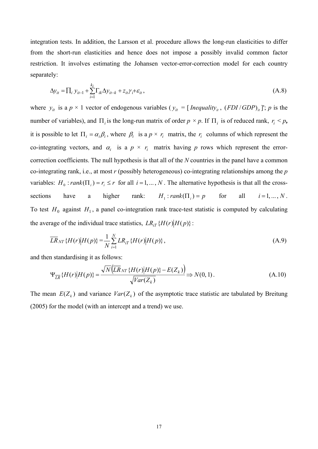integration tests. In addition, the Larsson et al. procedure allows the long-run elasticities to differ from the short-run elasticities and hence does not impose a possibly invalid common factor restriction. It involves estimating the Johansen vector-error-correction model for each country separately:

$$
\Delta y_{it} = \prod_i y_{it-1} + \sum_{i=1}^{k_i} \Gamma_{ik} \Delta y_{it-k} + z_{it} \gamma_i + \varepsilon_{it}, \qquad (A.8)
$$

where  $y_{it}$  is a  $p \times 1$  vector of endogenous variables ( $y_{it} = [Inequality_{it}, (FDI/GDP)_{it}]$ ; *p* is the number of variables), and  $\Pi_i$  is the long-run matrix of order  $p \times p$ . If  $\Pi_i$  is of reduced rank,  $r_i \leq p$ , it is possible to let  $\Pi_i = \alpha_i \beta_i$ , where  $\beta_i$  is a  $p \times r_i$  matrix, the  $r_i$  columns of which represent the co-integrating vectors, and  $\alpha_i$  is a  $p \times r_i$  matrix having p rows which represent the errorcorrection coefficients. The null hypothesis is that all of the *N* countries in the panel have a common co-integrating rank, i.e., at most *r* (possibly heterogeneous) co-integrating relationships among the *p* variables:  $H_0$ :  $rank(\Pi_i) = r_i \leq r$  for all  $i = 1, ..., N$ . The alternative hypothesis is that all the crosssections have a higher rank:  $H_1$ :*rank*( $\Pi_i$ ) = *p* for all *i* = 1, ..., *N*. To test  $H_0$  against  $H_1$ , a panel co-integration rank trace-test statistic is computed by calculating the average of the individual trace statistics,  $LR_{iT} \{H(r)|H(p)\}$ :

$$
\overline{LR}_{NT} \{H(r)|H(p)\} = \frac{1}{N} \sum_{i=1}^{N} LR_{iT} \{H(r)|H(p)\},\tag{A.9}
$$

and then standardising it as follows:

$$
\Psi_{\overline{LR}}\{H(r)|H(p)\} = \frac{\sqrt{N}\left(\overline{LR}_{NT}\{H(r)|H(p)\}-E(Z_k)\right)}{\sqrt{Var(Z_k)}} \Rightarrow N(0,1). \tag{A.10}
$$

The mean  $E(Z_k)$  and variance  $Var(Z_k)$  of the asymptotic trace statistic are tabulated by Breitung (2005) for the model (with an intercept and a trend) we use.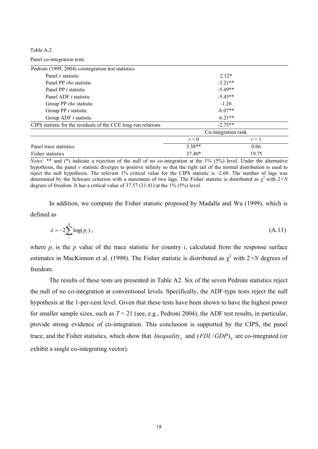Table A.2

Panel co-integration tests

| Pedroni (1999, 2004) cointegration test statistics             |                                  |           |
|----------------------------------------------------------------|----------------------------------|-----------|
| Panel <i>v</i> statistic                                       | $2.12*$                          |           |
| Panel PP <i>rho</i> statistic                                  |                                  | $-3.21**$ |
| Panel PP t statistic                                           | $-5.49**$                        |           |
| Panel ADF t statistic                                          | $-5.45**$                        |           |
| Group PP <i>rho</i> statistic                                  | $-1.26$                          |           |
| Group PP $t$ statistic                                         | $-6.07**$                        |           |
| Group ADF $t$ statistic                                        | $-6.21**$                        |           |
| CIPS statistic for the residuals of the CCE long-run relations | $-2.75**$<br>Co-integration rank |           |
|                                                                |                                  |           |
|                                                                | $r = 0$                          | $r=1$     |
| Panel trace statistics                                         | $3.58**$                         | 0.06      |
| Fisher statistics                                              | $37.40*$                         | 19.75     |

*Notes:* \*\* and (\*) indicate a rejection of the null of no co-integration at the 1% (5%) level. Under the alternative hypothesis, the panel *ν* statistic diverges to positive infinity so that the right tail of the normal distribution is used to reject the null hypothesis. The relevant 1% critical value for the CIPS statistic is -2.60. The number of lags was determined by the Schwarz criterion with a maximum of two lags. The Fisher statistic is distributed as χ 2 with 2*×N* degrees of freedom. It has a critical value of  $37.57$   $(31.41)$  at the  $1\%$   $(5\%)$  level.

In addition, we compute the Fisher statistic proposed by Madalla and Wu (1999), which is defined as

$$
\lambda = -2 \sum_{i}^{N} \log(p_i) \,, \tag{A.11}
$$

where  $p_i$  is the  $p$  value of the trace statistic for country  $i$ , calculated from the response surface estimates in MacKinnon et al. (1999). The Fisher statistic is distributed as  $\chi^2$  with  $2 \times N$  degrees of freedom.

The results of these tests are presented in Table A2. Six of the seven Pedroni statistics reject the null of no co-integration at conventional levels. Specifically, the ADF-type tests reject the null hypothesis at the 1-per-cent level. Given that these tests have been shown to have the highest power for smaller sample sizes, such as  $T = 21$  (see, e.g., Pedroni 2004), the ADF test results, in particular, provide strong evidence of co-integration. This conclusion is supported by the CIPS, the panel trace, and the Fisher statistics, which show that *Inequality* and  $(FDI/GDP)$  are co-integrated (or exhibit a single co-integrating vector).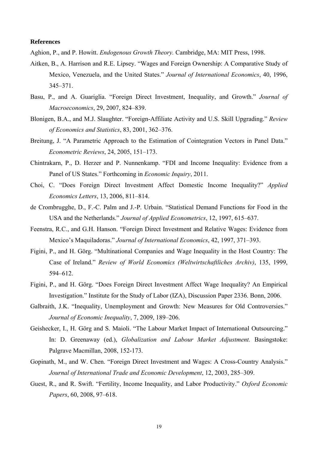#### **References**

Aghion, P., and P. Howitt. *Endogenous Growth Theory.* Cambridge, MA: MIT Press, 1998.

- Aitken, B., A. Harrison and R.E. Lipsey. "Wages and Foreign Ownership: A Comparative Study of Mexico, Venezuela, and the United States." *Journal of International Economics*, 40, 1996, 345–371.
- Basu, P., and A. Guariglia. "Foreign Direct Investment, Inequality, and Growth." *Journal of Macroeconomics*, 29, 2007, 824–839.
- Blonigen, B.A., and M.J. Slaughter. "Foreign-Affiliate Activity and U.S. Skill Upgrading." *Review of Economics and Statistics*, 83, 2001, 362–376.
- Breitung, J. "A Parametric Approach to the Estimation of Cointegration Vectors in Panel Data." *Econometric Reviews*, 24, 2005, 151–173.
- Chintrakarn, P., D. Herzer and P. Nunnenkamp. "FDI and Income Inequality: Evidence from a Panel of US States." Forthcoming in *Economic Inquiry*, 2011.
- Choi, C. "Does Foreign Direct Investment Affect Domestic Income Inequality?" *Applied Economics Letters*, 13, 2006, 811–814.
- de Crombrugghe, D., F.-C. Palm and J.-P. Urbain. "Statistical Demand Functions for Food in the USA and the Netherlands." *Journal of Applied Econometrics*, 12, 1997, 615–637.
- Feenstra, R.C., and G.H. Hanson. "Foreign Direct Investment and Relative Wages: Evidence from Mexico's Maquiladoras." *Journal of International Economics*, 42, 1997, 371–393.
- Figini, P., and H. Görg. "Multinational Companies and Wage Inequality in the Host Country: The Case of Ireland." *Review of World Economics (Weltwirtschaftliches Archiv)*, 135, 1999, 594–612.
- Figini, P., and H. Görg. "Does Foreign Direct Investment Affect Wage Inequality? An Empirical Investigation." Institute for the Study of Labor (IZA), Discussion Paper 2336. Bonn, 2006.
- Galbraith, J.K. "Inequality, Unemployment and Growth: New Measures for Old Controversies." *Journal of Economic Inequality*, 7, 2009, 189–206.
- Geishecker, I., H. Görg and S. Maioli. "The Labour Market Impact of International Outsourcing." In: D. Greenaway (ed.), *Globalization and Labour Market Adjustment.* Basingstoke: Palgrave Macmillan, 2008, 152-173.
- Gopinath, M., and W. Chen. "Foreign Direct Investment and Wages: A Cross-Country Analysis." *Journal of International Trade and Economic Development*, 12, 2003, 285–309.
- Guest, R., and R. Swift. "Fertility, Income Inequality, and Labor Productivity." *Oxford Economic Papers*, 60, 2008, 97–618.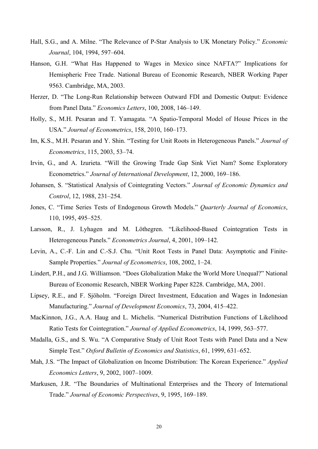- Hall, S.G., and A. Milne. "The Relevance of P-Star Analysis to UK Monetary Policy." *Economic Journal*, 104, 1994, 597–604.
- Hanson, G.H. "What Has Happened to Wages in Mexico since NAFTA?" Implications for Hemispheric Free Trade. National Bureau of Economic Research, NBER Working Paper 9563. Cambridge, MA, 2003.
- Herzer, D. "The Long-Run Relationship between Outward FDI and Domestic Output: Evidence from Panel Data." *Economics Letters*, 100, 2008, 146–149.
- Holly, S., M.H. Pesaran and T. Yamagata. "A Spatio-Temporal Model of House Prices in the USA." *Journal of Econometrics*, 158, 2010, 160–173.
- Im, K.S., M.H. Pesaran and Y. Shin. "Testing for Unit Roots in Heterogeneous Panels." *Journal of Econometrics*, 115, 2003, 53–74.
- Irvin, G., and A. Izurieta. "Will the Growing Trade Gap Sink Viet Nam? Some Exploratory Econometrics." *Journal of International Development*, 12, 2000, 169–186.
- Johansen, S. "Statistical Analysis of Cointegrating Vectors." *Journal of Economic Dynamics and Control*, 12, 1988, 231–254.
- Jones, C. "Time Series Tests of Endogenous Growth Models." *Quarterly Journal of Economics*, 110, 1995, 495–525.
- Larsson, R., J. Lyhagen and M. Löthegren. "Likelihood-Based Cointegration Tests in Heterogeneous Panels." *Econometrics Journal*, 4, 2001, 109–142.
- Levin, A., C.-F. Lin and C.-S.J. Chu. "Unit Root Tests in Panel Data: Asymptotic and Finite-Sample Properties." *Journal of Econometrics*, 108, 2002, 1–24.
- Lindert, P.H., and J.G. Williamson. "Does Globalization Make the World More Unequal?" National Bureau of Economic Research, NBER Working Paper 8228. Cambridge, MA, 2001.
- Lipsey, R.E., and F. Sjöholm. "Foreign Direct Investment, Education and Wages in Indonesian Manufacturing." *Journal of Development Economics*, 73, 2004, 415–422.
- MacKinnon, J.G., A.A. Haug and L. Michelis. "Numerical Distribution Functions of Likelihood Ratio Tests for Cointegration." *Journal of Applied Econometrics*, 14, 1999, 563–577.
- Madalla, G.S., and S. Wu. "A Comparative Study of Unit Root Tests with Panel Data and a New Simple Test." *Oxford Bulletin of Economics and Statistics*, 61, 1999, 631–652.
- Mah, J.S. "The Impact of Globalization on Income Distribution: The Korean Experience." *Applied Economics Letters*, 9, 2002, 1007–1009.
- Markusen, J.R. "The Boundaries of Multinational Enterprises and the Theory of International Trade." *Journal of Economic Perspectives*, 9, 1995, 169–189.